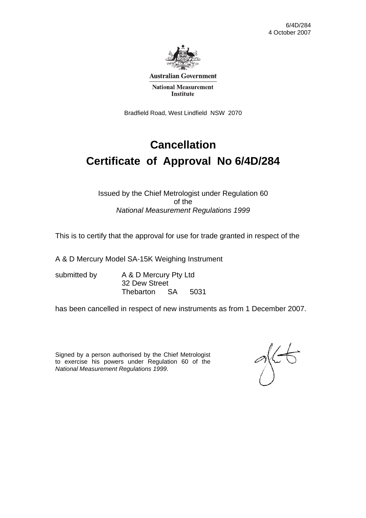

**Australian Government** 

**National Measurement Institute** 

Bradfield Road, West Lindfield NSW 2070

# **Cancellation Certificate of Approval No 6/4D/284**

#### Issued by the Chief Metrologist under Regulation 60 of the *National Measurement Regulations 1999*

This is to certify that the approval for use for trade granted in respect of the

A & D Mercury Model SA-15K Weighing Instrument

submitted by A & D Mercury Pty Ltd 32 Dew Street Thebarton SA 5031

has been cancelled in respect of new instruments as from 1 December 2007.

Signed by a person authorised by the Chief Metrologist to exercise his powers under Regulation 60 of the *National Measurement Regulations 1999*.

 $\frac{1}{2}$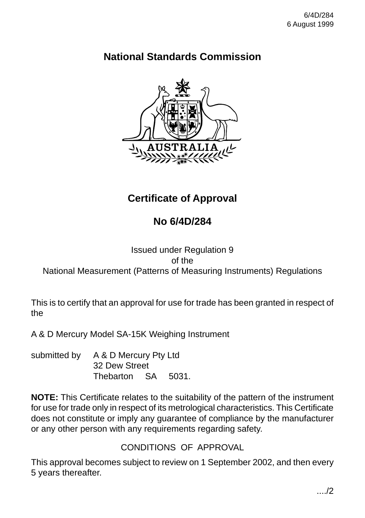## **National Standards Commission**



## **Certificate of Approval**

## **No 6/4D/284**

### Issued under Regulation 9 of the National Measurement (Patterns of Measuring Instruments) Regulations

This is to certify that an approval for use for trade has been granted in respect of the

A & D Mercury Model SA-15K Weighing Instrument

submitted by A & D Mercury Pty Ltd 32 Dew Street Thebarton SA 5031.

**NOTE:** This Certificate relates to the suitability of the pattern of the instrument for use for trade only in respect of its metrological characteristics. This Certificate does not constitute or imply any guarantee of compliance by the manufacturer or any other person with any requirements regarding safety.

CONDITIONS OF APPROVAL

This approval becomes subject to review on 1 September 2002, and then every 5 years thereafter.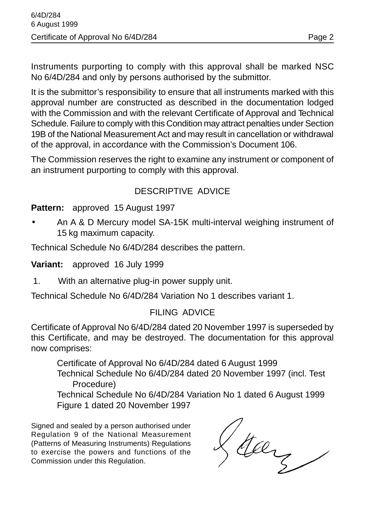Instruments purporting to comply with this approval shall be marked NSC No 6/4D/284 and only by persons authorised by the submittor.

It is the submittor's responsibility to ensure that all instruments marked with this approval number are constructed as described in the documentation lodged with the Commission and with the relevant Certificate of Approval and Technical Schedule. Failure to comply with this Condition may attract penalties under Section 19B of the National Measurement Act and may result in cancellation or withdrawal of the approval, in accordance with the Commission's Document 106.

The Commission reserves the right to examine any instrument or component of an instrument purporting to comply with this approval.

### DESCRIPTIVE ADVICE

#### **Pattern:** approved 15 August 1997

• An A & D Mercury model SA-15K multi-interval weighing instrument of 15 kg maximum capacity.

Technical Schedule No 6/4D/284 describes the pattern.

**Variant:** approved 16 July 1999

1. With an alternative plug-in power supply unit.

Technical Schedule No 6/4D/284 Variation No 1 describes variant 1.

#### FILING ADVICE

Certificate of Approval No 6/4D/284 dated 20 November 1997 is superseded by this Certificate, and may be destroyed. The documentation for this approval now comprises:

Certificate of Approval No 6/4D/284 dated 6 August 1999 Technical Schedule No 6/4D/284 dated 20 November 1997 (incl. Test Procedure)

Technical Schedule No 6/4D/284 Variation No 1 dated 6 August 1999 Figure 1 dated 20 November 1997

Signed and sealed by a person authorised under Regulation 9 of the National Measurement (Patterns of Measuring Instruments) Regulations to exercise the powers and functions of the Commission under this Regulation.

Stay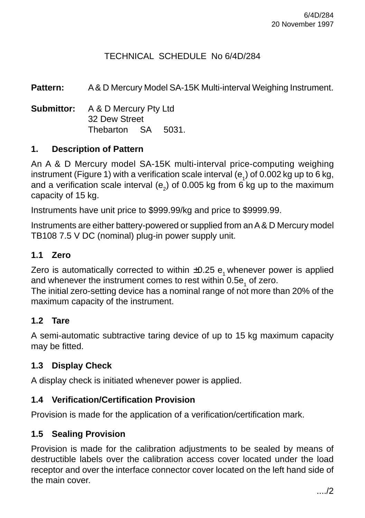### TECHNICAL SCHEDULE No 6/4D/284

**Pattern:** A & D Mercury Model SA-15K Multi-interval Weighing Instrument.

**Submittor:** A & D Mercury Pty Ltd 32 Dew Street Thebarton SA 5031.

### **1. Description of Pattern**

An A & D Mercury model SA-15K multi-interval price-computing weighing instrument (Figure 1) with a verification scale interval (e<sub>1</sub>) of 0.002 kg up to 6 kg, and a verification scale interval (e<sub>2</sub>) of 0.005 kg from 6 kg up to the maximum capacity of 15 kg.

Instruments have unit price to \$999.99/kg and price to \$9999.99.

Instruments are either battery-powered or supplied from an A & D Mercury model TB108 7.5 V DC (nominal) plug-in power supply unit.

#### **1.1 Zero**

Zero is automatically corrected to within  $\pm 0.25$  e<sub>1</sub> whenever power is applied and whenever the instrument comes to rest within 0.5e<sub>1</sub> of zero.

The initial zero-setting device has a nominal range of not more than 20% of the maximum capacity of the instrument.

### **1.2 Tare**

A semi-automatic subtractive taring device of up to 15 kg maximum capacity may be fitted.

### **1.3 Display Check**

A display check is initiated whenever power is applied.

### **1.4 Verification/Certification Provision**

Provision is made for the application of a verification/certification mark.

### **1.5 Sealing Provision**

Provision is made for the calibration adjustments to be sealed by means of destructible labels over the calibration access cover located under the load receptor and over the interface connector cover located on the left hand side of the main cover.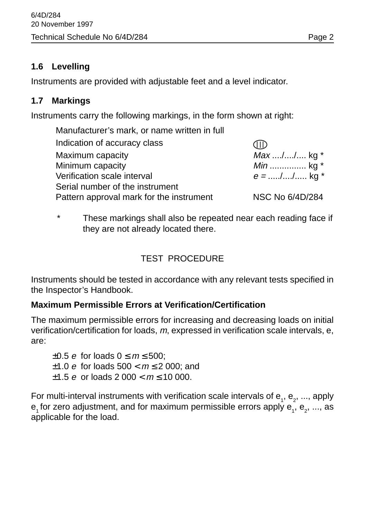### **1.6 Levelling**

Instruments are provided with adjustable feet and a level indicator.

### **1.7 Markings**

Instruments carry the following markings, in the form shown at right:

| Manufacturer's mark, or name written in full |                   |
|----------------------------------------------|-------------------|
| Indication of accuracy class                 |                   |
| Maximum capacity                             | $Max  /  / $ kg * |
| Minimum capacity                             | <i>Min</i> kg $*$ |
| Verification scale interval                  | $e =$ // kg *     |
| Serial number of the instrument              |                   |
| Pattern approval mark for the instrument     | NSC No 6/4D/284   |

### \* These markings shall also be repeated near each reading face if they are not already located there.

## TEST PROCEDURE

Instruments should be tested in accordance with any relevant tests specified in the Inspector's Handbook.

### **Maximum Permissible Errors at Verification/Certification**

The maximum permissible errors for increasing and decreasing loads on initial verification/certification for loads, m, expressed in verification scale intervals, e, are:

 $\pm 0.5$  e for loads  $0 \le m \le 500$ ;  $±1.0 e$  for loads 500 <  $m \le 2$  000; and  $\pm 1.5$  e or loads 2 000  $<$   $m \le 10$  000.

For multi-interval instruments with verification scale intervals of  ${\sf e}_{_1},$   ${\sf e}_{_2},$  ..., apply  ${\sf e}_{\scriptscriptstyle 1}$ for zero adjustment, and for maximum permissible errors apply  ${\sf e}_{\scriptscriptstyle 1}^{} ,$   ${\sf e}_{\scriptscriptstyle 2}^{} ,$  ..., as applicable for the load.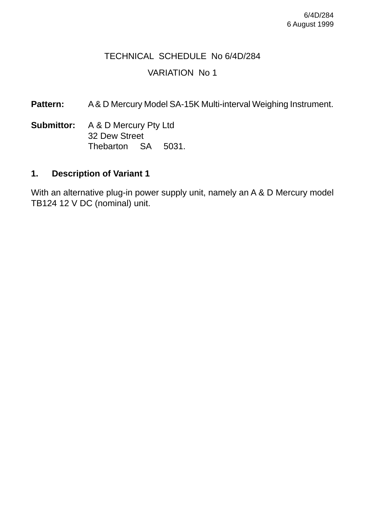## TECHNICAL SCHEDULE No 6/4D/284 VARIATION No 1

Pattern: A & D Mercury Model SA-15K Multi-interval Weighing Instrument.

**Submittor:** A & D Mercury Pty Ltd 32 Dew Street Thebarton SA 5031.

#### **1. Description of Variant 1**

With an alternative plug-in power supply unit, namely an A & D Mercury model TB124 12 V DC (nominal) unit.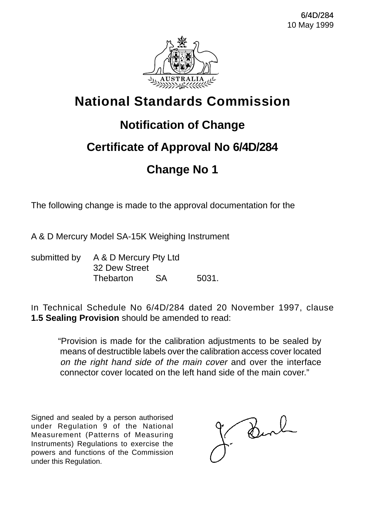

# **National Standards Commission**

## **Notification of Change**

## **Certificate of Approval No 6/4D/284**

## **Change No 1**

The following change is made to the approval documentation for the

A & D Mercury Model SA-15K Weighing Instrument

submitted by A & D Mercury Pty Ltd 32 Dew Street Thebarton SA 5031.

In Technical Schedule No 6/4D/284 dated 20 November 1997, clause **1.5 Sealing Provision** should be amended to read:

"Provision is made for the calibration adjustments to be sealed by means of destructible labels over the calibration access cover located on the right hand side of the main cover and over the interface connector cover located on the left hand side of the main cover."

Signed and sealed by a person authorised under Regulation 9 of the National Measurement (Patterns of Measuring Instruments) Regulations to exercise the powers and functions of the Commission under this Regulation.

Burl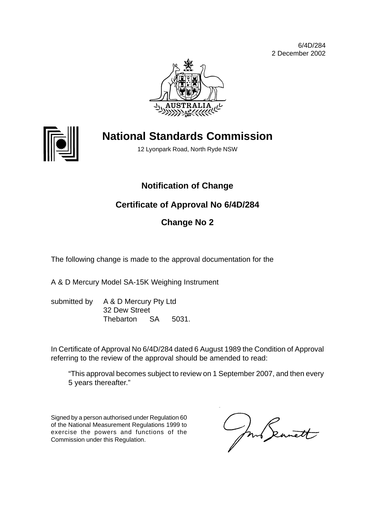6/4D/284 2 December 2002





# **National Standards Commission**

12 Lyonpark Road, North Ryde NSW

## **Notification of Change**

## **Certificate of Approval No 6/4D/284**

## **Change No 2**

The following change is made to the approval documentation for the

A & D Mercury Model SA-15K Weighing Instrument

submitted by A & D Mercury Pty Ltd 32 Dew Street Thebarton SA 5031.

In Certificate of Approval No 6/4D/284 dated 6 August 1989 the Condition of Approval referring to the review of the approval should be amended to read:

"This approval becomes subject to review on 1 September 2007, and then every 5 years thereafter."

Signed by a person authorised under Regulation 60 of the National Measurement Regulations 1999 to exercise the powers and functions of the Commission under this Regulation.

In Seanett